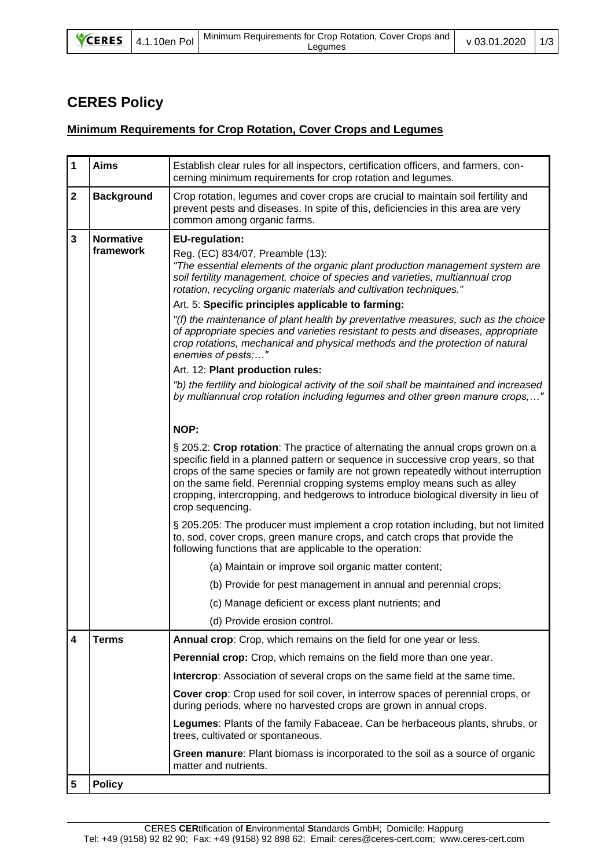| <b>VCERES</b> | 4.1.10en Pol | Minimum Requirements for Crop Rotation, Cover Crops and  <br>Lequmes | v 03.01.2020   1/3 |  |
|---------------|--------------|----------------------------------------------------------------------|--------------------|--|
|---------------|--------------|----------------------------------------------------------------------|--------------------|--|

## **CERES Policy**

## **Minimum Requirements for Crop Rotation, Cover Crops and Legumes**

| 1           | <b>Aims</b>                   | Establish clear rules for all inspectors, certification officers, and farmers, con-<br>cerning minimum requirements for crop rotation and legumes.                                                                                                                                                                                                                                                                                               |
|-------------|-------------------------------|--------------------------------------------------------------------------------------------------------------------------------------------------------------------------------------------------------------------------------------------------------------------------------------------------------------------------------------------------------------------------------------------------------------------------------------------------|
| $\mathbf 2$ | <b>Background</b>             | Crop rotation, legumes and cover crops are crucial to maintain soil fertility and<br>prevent pests and diseases. In spite of this, deficiencies in this area are very<br>common among organic farms.                                                                                                                                                                                                                                             |
| 3           | <b>Normative</b><br>framework | <b>EU-regulation:</b><br>Reg. (EC) 834/07, Preamble (13):<br>"The essential elements of the organic plant production management system are<br>soil fertility management, choice of species and varieties, multiannual crop<br>rotation, recycling organic materials and cultivation techniques."                                                                                                                                                 |
|             |                               | Art. 5: Specific principles applicable to farming:                                                                                                                                                                                                                                                                                                                                                                                               |
|             |                               | "(f) the maintenance of plant health by preventative measures, such as the choice<br>of appropriate species and varieties resistant to pests and diseases, appropriate<br>crop rotations, mechanical and physical methods and the protection of natural<br>enemies of pests;"                                                                                                                                                                    |
|             |                               | Art. 12: Plant production rules:                                                                                                                                                                                                                                                                                                                                                                                                                 |
|             |                               | "b) the fertility and biological activity of the soil shall be maintained and increased<br>by multiannual crop rotation including legumes and other green manure crops,"                                                                                                                                                                                                                                                                         |
|             |                               | NOP:                                                                                                                                                                                                                                                                                                                                                                                                                                             |
|             |                               | § 205.2: Crop rotation: The practice of alternating the annual crops grown on a<br>specific field in a planned pattern or sequence in successive crop years, so that<br>crops of the same species or family are not grown repeatedly without interruption<br>on the same field. Perennial cropping systems employ means such as alley<br>cropping, intercropping, and hedgerows to introduce biological diversity in lieu of<br>crop sequencing. |
|             |                               | § 205.205: The producer must implement a crop rotation including, but not limited<br>to, sod, cover crops, green manure crops, and catch crops that provide the<br>following functions that are applicable to the operation:                                                                                                                                                                                                                     |
|             |                               | (a) Maintain or improve soil organic matter content;                                                                                                                                                                                                                                                                                                                                                                                             |
|             |                               | (b) Provide for pest management in annual and perennial crops;                                                                                                                                                                                                                                                                                                                                                                                   |
|             |                               | (c) Manage deficient or excess plant nutrients; and                                                                                                                                                                                                                                                                                                                                                                                              |
|             |                               | (d) Provide erosion control.                                                                                                                                                                                                                                                                                                                                                                                                                     |
| 4           | <b>Terms</b>                  | Annual crop: Crop, which remains on the field for one year or less.                                                                                                                                                                                                                                                                                                                                                                              |
|             |                               | Perennial crop: Crop, which remains on the field more than one year.                                                                                                                                                                                                                                                                                                                                                                             |
|             |                               | <b>Intercrop:</b> Association of several crops on the same field at the same time.                                                                                                                                                                                                                                                                                                                                                               |
|             |                               | Cover crop: Crop used for soil cover, in interrow spaces of perennial crops, or<br>during periods, where no harvested crops are grown in annual crops.                                                                                                                                                                                                                                                                                           |
|             |                               | Legumes: Plants of the family Fabaceae. Can be herbaceous plants, shrubs, or<br>trees, cultivated or spontaneous.                                                                                                                                                                                                                                                                                                                                |
|             |                               | Green manure: Plant biomass is incorporated to the soil as a source of organic<br>matter and nutrients.                                                                                                                                                                                                                                                                                                                                          |
| 5           | <b>Policy</b>                 |                                                                                                                                                                                                                                                                                                                                                                                                                                                  |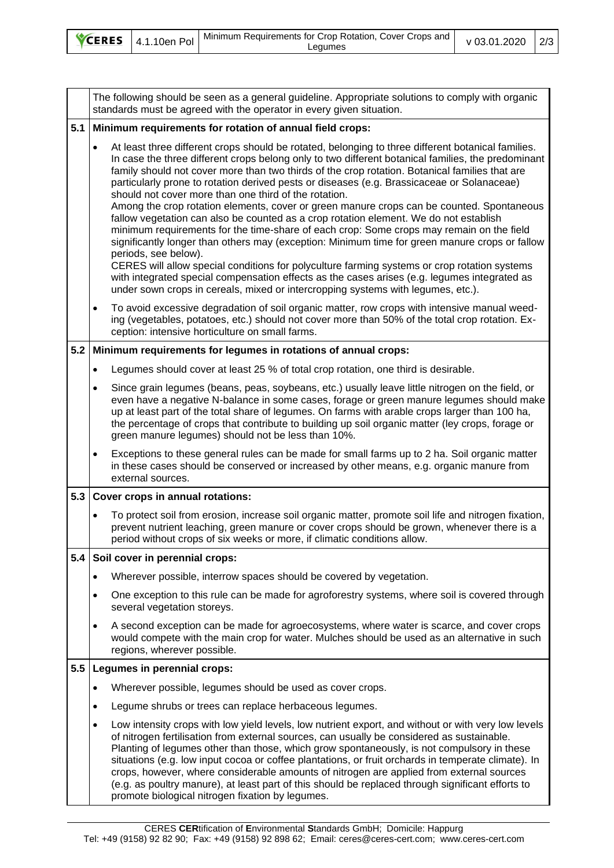|  | $\bigtriangledown$ CERES 4.1.10en Pol | Ninimum Requirements for Crop Rotation, Cover Crops and<br>∟eaumes | v 03.01.2020   2/3 |  |
|--|---------------------------------------|--------------------------------------------------------------------|--------------------|--|
|--|---------------------------------------|--------------------------------------------------------------------|--------------------|--|

The following should be seen as a general guideline. Appropriate solutions to comply with organic standards must be agreed with the operator in every given situation. **5.1 Minimum requirements for rotation of annual field crops:** • At least three different crops should be rotated, belonging to three different botanical families. In case the three different crops belong only to two different botanical families, the predominant family should not cover more than two thirds of the crop rotation. Botanical families that are particularly prone to rotation derived pests or diseases (e.g. Brassicaceae or Solanaceae) should not cover more than one third of the rotation. Among the crop rotation elements, cover or green manure crops can be counted. Spontaneous fallow vegetation can also be counted as a crop rotation element. We do not establish minimum requirements for the time-share of each crop: Some crops may remain on the field significantly longer than others may (exception: Minimum time for green manure crops or fallow periods, see below). CERES will allow special conditions for polyculture farming systems or crop rotation systems with integrated special compensation effects as the cases arises (e.g. legumes integrated as under sown crops in cereals, mixed or intercropping systems with legumes, etc.). • To avoid excessive degradation of soil organic matter, row crops with intensive manual weeding (vegetables, potatoes, etc.) should not cover more than 50% of the total crop rotation. Exception: intensive horticulture on small farms. **5.2 Minimum requirements for legumes in rotations of annual crops:** • Legumes should cover at least 25 % of total crop rotation, one third is desirable. • Since grain legumes (beans, peas, soybeans, etc.) usually leave little nitrogen on the field, or even have a negative N-balance in some cases, forage or green manure legumes should make up at least part of the total share of legumes. On farms with arable crops larger than 100 ha, the percentage of crops that contribute to building up soil organic matter (ley crops, forage or green manure legumes) should not be less than 10%. • Exceptions to these general rules can be made for small farms up to 2 ha. Soil organic matter in these cases should be conserved or increased by other means, e.g. organic manure from external sources. **5.3 Cover crops in annual rotations:** • To protect soil from erosion, increase soil organic matter, promote soil life and nitrogen fixation, prevent nutrient leaching, green manure or cover crops should be grown, whenever there is a period without crops of six weeks or more, if climatic conditions allow. **5.4 Soil cover in perennial crops:** • Wherever possible, interrow spaces should be covered by vegetation. • One exception to this rule can be made for agroforestry systems, where soil is covered through several vegetation storeys. • A second exception can be made for agroecosystems, where water is scarce, and cover crops would compete with the main crop for water. Mulches should be used as an alternative in such regions, wherever possible. **5.5 Legumes in perennial crops:** Wherever possible, legumes should be used as cover crops. Legume shrubs or trees can replace herbaceous legumes. • Low intensity crops with low yield levels, low nutrient export, and without or with very low levels of nitrogen fertilisation from external sources, can usually be considered as sustainable. Planting of legumes other than those, which grow spontaneously, is not compulsory in these situations (e.g. low input cocoa or coffee plantations, or fruit orchards in temperate climate). In crops, however, where considerable amounts of nitrogen are applied from external sources (e.g. as poultry manure), at least part of this should be replaced through significant efforts to promote biological nitrogen fixation by legumes.